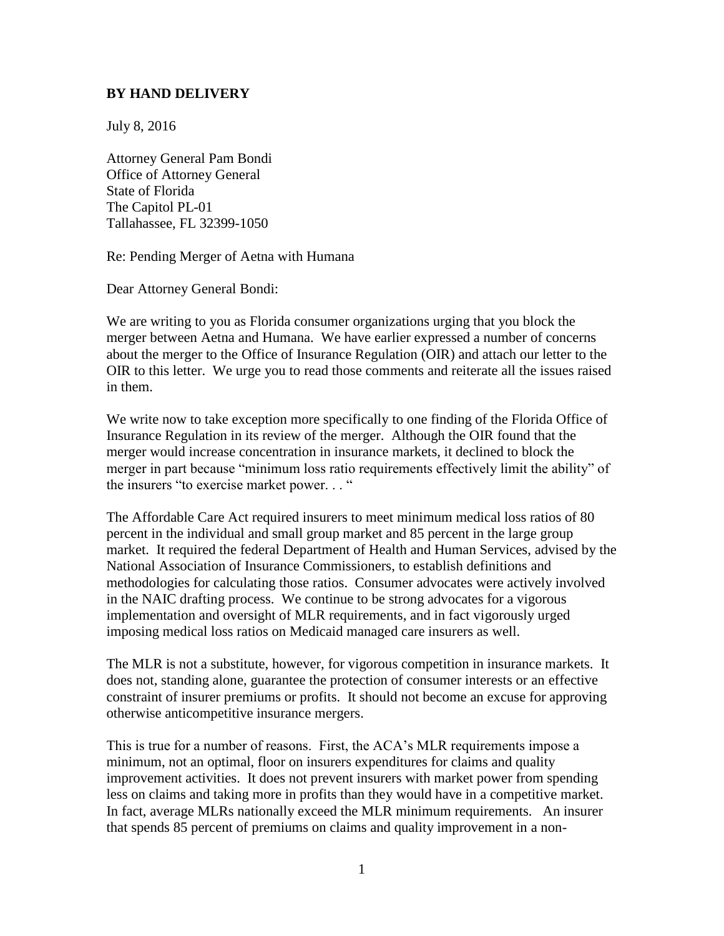## **BY HAND DELIVERY**

July 8, 2016

Attorney General Pam Bondi Office of Attorney General State of Florida The Capitol PL-01 Tallahassee, FL 32399-1050

Re: Pending Merger of Aetna with Humana

Dear Attorney General Bondi:

We are writing to you as Florida consumer organizations urging that you block the merger between Aetna and Humana. We have earlier expressed a number of concerns about the merger to the Office of Insurance Regulation (OIR) and attach our letter to the OIR to this letter. We urge you to read those comments and reiterate all the issues raised in them.

We write now to take exception more specifically to one finding of the Florida Office of Insurance Regulation in its review of the merger. Although the OIR found that the merger would increase concentration in insurance markets, it declined to block the merger in part because "minimum loss ratio requirements effectively limit the ability" of the insurers "to exercise market power. . . "

The Affordable Care Act required insurers to meet minimum medical loss ratios of 80 percent in the individual and small group market and 85 percent in the large group market. It required the federal Department of Health and Human Services, advised by the National Association of Insurance Commissioners, to establish definitions and methodologies for calculating those ratios. Consumer advocates were actively involved in the NAIC drafting process. We continue to be strong advocates for a vigorous implementation and oversight of MLR requirements, and in fact vigorously urged imposing medical loss ratios on Medicaid managed care insurers as well.

The MLR is not a substitute, however, for vigorous competition in insurance markets. It does not, standing alone, guarantee the protection of consumer interests or an effective constraint of insurer premiums or profits. It should not become an excuse for approving otherwise anticompetitive insurance mergers.

This is true for a number of reasons. First, the ACA's MLR requirements impose a minimum, not an optimal, floor on insurers expenditures for claims and quality improvement activities. It does not prevent insurers with market power from spending less on claims and taking more in profits than they would have in a competitive market. In fact, average MLRs nationally exceed the MLR minimum requirements. An insurer that spends 85 percent of premiums on claims and quality improvement in a non-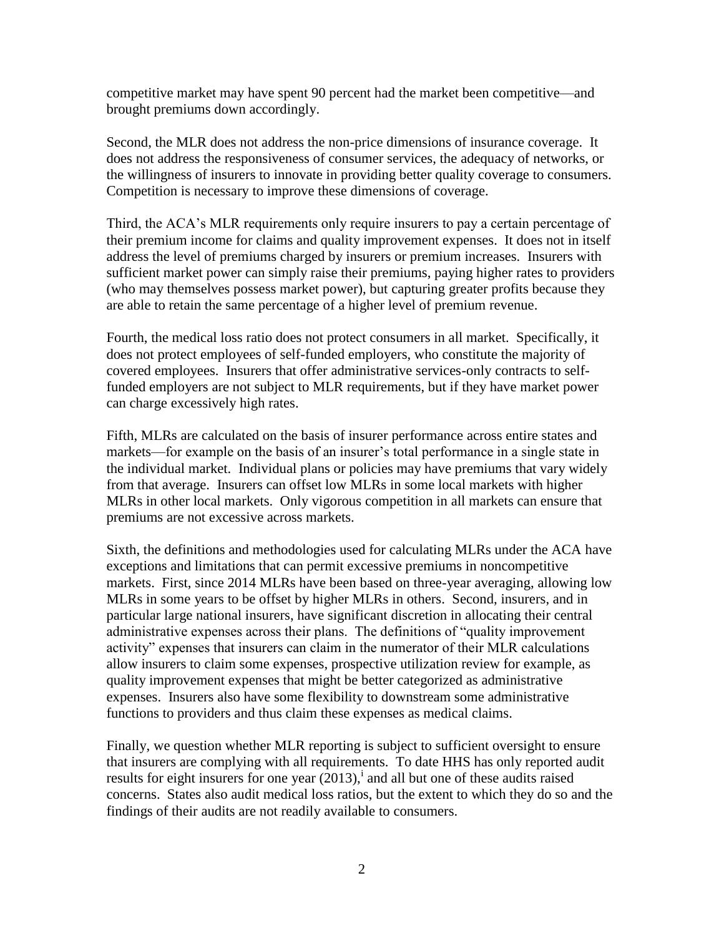competitive market may have spent 90 percent had the market been competitive—and brought premiums down accordingly.

Second, the MLR does not address the non-price dimensions of insurance coverage. It does not address the responsiveness of consumer services, the adequacy of networks, or the willingness of insurers to innovate in providing better quality coverage to consumers. Competition is necessary to improve these dimensions of coverage.

Third, the ACA's MLR requirements only require insurers to pay a certain percentage of their premium income for claims and quality improvement expenses. It does not in itself address the level of premiums charged by insurers or premium increases. Insurers with sufficient market power can simply raise their premiums, paying higher rates to providers (who may themselves possess market power), but capturing greater profits because they are able to retain the same percentage of a higher level of premium revenue.

Fourth, the medical loss ratio does not protect consumers in all market. Specifically, it does not protect employees of self-funded employers, who constitute the majority of covered employees. Insurers that offer administrative services-only contracts to selffunded employers are not subject to MLR requirements, but if they have market power can charge excessively high rates.

Fifth, MLRs are calculated on the basis of insurer performance across entire states and markets—for example on the basis of an insurer's total performance in a single state in the individual market. Individual plans or policies may have premiums that vary widely from that average. Insurers can offset low MLRs in some local markets with higher MLRs in other local markets. Only vigorous competition in all markets can ensure that premiums are not excessive across markets.

Sixth, the definitions and methodologies used for calculating MLRs under the ACA have exceptions and limitations that can permit excessive premiums in noncompetitive markets. First, since 2014 MLRs have been based on three-year averaging, allowing low MLRs in some years to be offset by higher MLRs in others. Second, insurers, and in particular large national insurers, have significant discretion in allocating their central administrative expenses across their plans. The definitions of "quality improvement activity" expenses that insurers can claim in the numerator of their MLR calculations allow insurers to claim some expenses, prospective utilization review for example, as quality improvement expenses that might be better categorized as administrative expenses. Insurers also have some flexibility to downstream some administrative functions to providers and thus claim these expenses as medical claims.

Finally, we question whether MLR reporting is subject to sufficient oversight to ensure that insurers are complying with all requirements. To date HHS has only reported audit results for eight insurers for one year  $(2013)$ , and all but one of these audits raised concerns. States also audit medical loss ratios, but the extent to which they do so and the findings of their audits are not readily available to consumers.